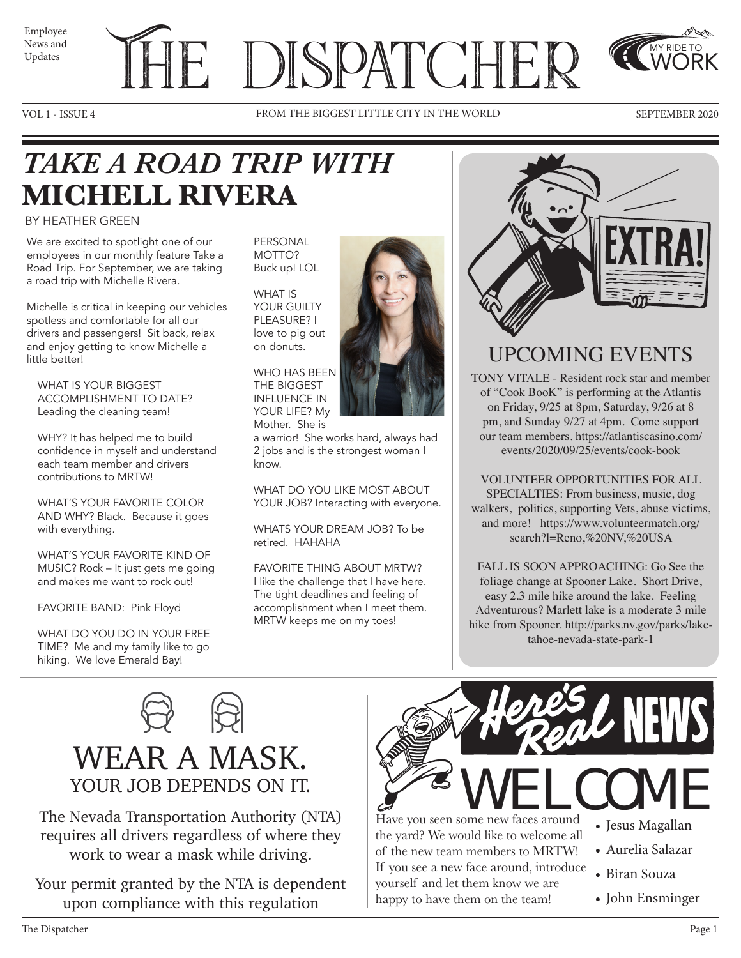News and Updates

# Employee THE DISPATCHER



VOL 1 - ISSUE 4 FROM THE BIGGEST LITTLE CITY IN THE WORLD SEPTEMBER 2020



MY RIDE TO WORK

### *TAKE A ROAD TRIP WITH*  **MICHELL RIVERA**

#### BY HEATHER GREEN

We are excited to spotlight one of our employees in our monthly feature Take a Road Trip. For September, we are taking a road trip with Michelle Rivera.

Michelle is critical in keeping our vehicles spotless and comfortable for all our drivers and passengers! Sit back, relax and enjoy getting to know Michelle a little better!

WHAT IS YOUR BIGGEST ACCOMPLISHMENT TO DATE? Leading the cleaning team!

WHY? It has helped me to build confidence in myself and understand each team member and drivers contributions to MRTW!

WHAT'S YOUR FAVORITE COLOR AND WHY? Black. Because it goes with everything.

WHAT'S YOUR FAVORITE KIND OF MUSIC? Rock – It just gets me going and makes me want to rock out!

FAVORITE BAND: Pink Floyd

WHAT DO YOU DO IN YOUR FREE TIME? Me and my family like to go hiking. We love Emerald Bay!

PERSONAL MOTTO? Buck up! LOL

WHAT IS YOUR GUILTY PLEASURE? I love to pig out on donuts.

WHO HAS BEEN THE BIGGEST INFLUENCE IN YOUR LIFE? My Mother. She is

a warrior! She works hard, always had 2 jobs and is the strongest woman I know.

WHAT DO YOU LIKE MOST ABOUT YOUR JOB? Interacting with everyone.

WHATS YOUR DREAM JOB? To be retired. HAHAHA

FAVORITE THING ABOUT MRTW? I like the challenge that I have here. The tight deadlines and feeling of accomplishment when I meet them. MRTW keeps me on my toes!



### UPCOMING EVENTS

TONY VITALE - Resident rock star and member of "Cook BooK" is performing at the Atlantis on Friday, 9/25 at 8pm, Saturday, 9/26 at 8 pm, and Sunday 9/27 at 4pm. Come support our team members. https://atlantiscasino.com/ events/2020/09/25/events/cook-book

VOLUNTEER OPPORTUNITIES FOR ALL SPECIALTIES: From business, music, dog walkers, politics, supporting Vets, abuse victims, and more! https://www.volunteermatch.org/ search?l=Reno,%20NV,%20USA

FALL IS SOON APPROACHING: Go See the foliage change at Spooner Lake. Short Drive, easy 2.3 mile hike around the lake. Feeling Adventurous? Marlett lake is a moderate 3 mile hike from Spooner. http://parks.nv.gov/parks/laketahoe-nevada-state-park-1



The Nevada Transportation Authority (NTA) requires all drivers regardless of where they work to wear a mask while driving.

Your permit granted by the NTA is dependent upon compliance with this regulation



Have you seen some new faces around the yard? We would like to welcome all of the new team members to MRTW! If you see a new face around, introduce yourself and let them know we are happy to have them on the team!

- Jesus Magallan
- Aurelia Salazar
- Biran Souza
- John Ensminger